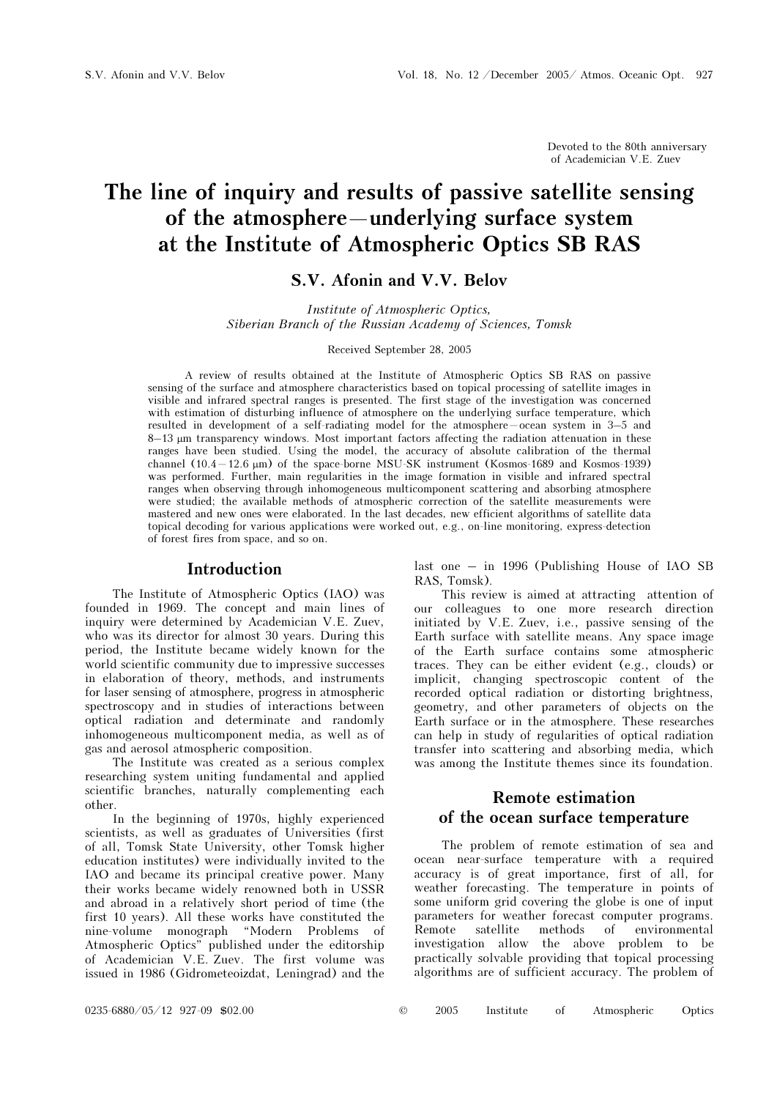Devoted to the 80th anniversary of Academician V.E. Zuev

# The line of inquiry and results of passive satellite sensing of the atmosphere—underlying surface system at the Institute of Atmospheric Optics SB RAS

## S.V. Afonin and V.V. Belov

Institute of Atmospheric Optics, Siberian Branch of the Russian Academy of Sciences, Tomsk

### Received September 28, 2005

A review of results obtained at the Institute of Atmospheric Optics SB RAS on passive sensing of the surface and atmosphere characteristics based on topical processing of satellite images in visible and infrared spectral ranges is presented. The first stage of the investigation was concerned with estimation of disturbing influence of atmosphere on the underlying surface temperature, which resulted in development of a self-radiating model for the atmosphere—ocean system in 3–5 and 8–13 μm transparency windows. Most important factors affecting the radiation attenuation in these ranges have been studied. Using the model, the accuracy of absolute calibration of the thermal channel (10.4—12.6 μm) of the space-borne MSU-SK instrument (Kosmos-1689 and Kosmos-1939) was performed. Further, main regularities in the image formation in visible and infrared spectral ranges when observing through inhomogeneous multicomponent scattering and absorbing atmosphere were studied; the available methods of atmospheric correction of the satellite measurements were mastered and new ones were elaborated. In the last decades, new efficient algorithms of satellite data topical decoding for various applications were worked out, e.g., on-line monitoring, express-detection of forest fires from space, and so on.

## Introduction

The Institute of Atmospheric Optics (IAO) was founded in 1969. The concept and main lines of inquiry were determined by Academician V.E. Zuev, who was its director for almost 30 years. During this period, the Institute became widely known for the world scientific community due to impressive successes in elaboration of theory, methods, and instruments for laser sensing of atmosphere, progress in atmospheric spectroscopy and in studies of interactions between optical radiation and determinate and randomly inhomogeneous multicomponent media, as well as of gas and aerosol atmospheric composition.

The Institute was created as a serious complex researching system uniting fundamental and applied scientific branches, naturally complementing each other.

In the beginning of 1970s, highly experienced scientists, as well as graduates of Universities (first of all, Tomsk State University, other Tomsk higher education institutes) were individually invited to the IAO and became its principal creative power. Many their works became widely renowned both in USSR and abroad in a relatively short period of time (the first 10 years). All these works have constituted the nine-volume monograph "Modern Problems of Atmospheric Optics" published under the editorship of Academician V.E. Zuev. The first volume was issued in 1986 (Gidrometeoizdat, Leningrad) and the

last one – in 1996 (Publishing House of IAO SB RAS, Tomsk).

This review is aimed at attracting attention of our colleagues to one more research direction initiated by V.E. Zuev, i.e., passive sensing of the Earth surface with satellite means. Any space image of the Earth surface contains some atmospheric traces. They can be either evident (e.g., clouds) or implicit, changing spectroscopic content of the recorded optical radiation or distorting brightness, geometry, and other parameters of objects on the Earth surface or in the atmosphere. These researches can help in study of regularities of optical radiation transfer into scattering and absorbing media, which was among the Institute themes since its foundation.

# Remote estimation of the ocean surface temperature

The problem of remote estimation of sea and ocean near-surface temperature with a required accuracy is of great importance, first of all, for weather forecasting. The temperature in points of some uniform grid covering the globe is one of input parameters for weather forecast computer programs. Remote satellite methods of environmental investigation allow the above problem to be practically solvable providing that topical processing algorithms are of sufficient accuracy. The problem of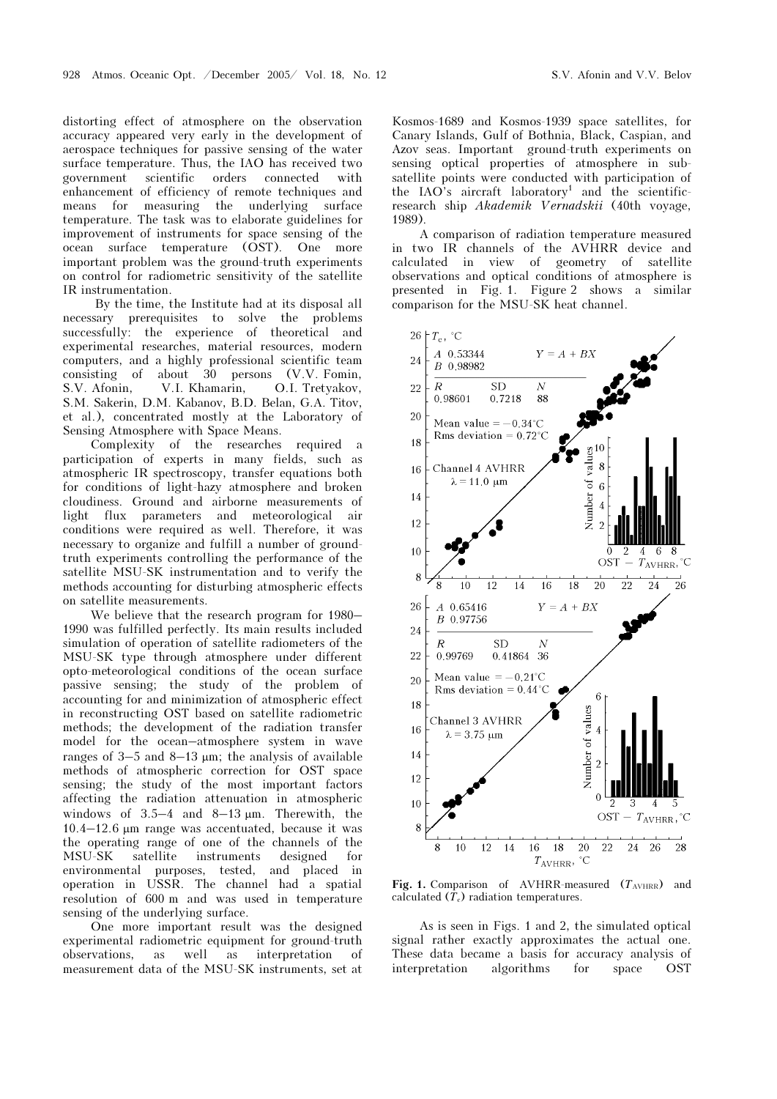distorting effect of atmosphere on the observation accuracy appeared very early in the development of aerospace techniques for passive sensing of the water surface temperature. Thus, the IAO has received two government scientific orders connected with enhancement of efficiency of remote techniques and means for measuring the underlying surface temperature. The task was to elaborate guidelines for improvement of instruments for space sensing of the ocean surface temperature (OST). One more important problem was the ground-truth experiments on control for radiometric sensitivity of the satellite IR instrumentation.

 By the time, the Institute had at its disposal all necessary prerequisites to solve the problems successfully: the experience of theoretical and experimental researches, material resources, modern computers, and a highly professional scientific team consisting of about 30 persons (V.V. Fomin, S.V. Afonin, V.I. Khamarin, O.I. Tretyakov, S.M. Sakerin, D.M. Kabanov, B.D. Belan, G.A. Titov, et al.), concentrated mostly at the Laboratory of Sensing Atmosphere with Space Means.

Complexity of the researches required a participation of experts in many fields, such as atmospheric IR spectroscopy, transfer equations both for conditions of light-hazy atmosphere and broken cloudiness. Ground and airborne measurements of light flux parameters and meteorological air conditions were required as well. Therefore, it was necessary to organize and fulfill a number of groundtruth experiments controlling the performance of the satellite MSU-SK instrumentation and to verify the methods accounting for disturbing atmospheric effects on satellite measurements.

We believe that the research program for 1980– 1990 was fulfilled perfectly. Its main results included simulation of operation of satellite radiometers of the MSU-SK type through atmosphere under different opto-meteorological conditions of the ocean surface passive sensing; the study of the problem of accounting for and minimization of atmospheric effect in reconstructing OST based on satellite radiometric methods; the development of the radiation transfer model for the ocean–atmosphere system in wave ranges of 3–5 and 8–13 μm; the analysis of available methods of atmospheric correction for OST space sensing; the study of the most important factors affecting the radiation attenuation in atmospheric windows of 3.5–4 and 8–13 μm. Therewith, the 10.4–12.6 μm range was accentuated, because it was the operating range of one of the channels of the MSU-SK satellite instruments designed for environmental purposes, tested, and placed in operation in USSR. The channel had a spatial resolution of 600 m and was used in temperature sensing of the underlying surface.

One more important result was the designed experimental radiometric equipment for ground-truth observations, as well as interpretation of measurement data of the MSU-SK instruments, set at

Kosmos-1689 and Kosmos-1939 space satellites, for Canary Islands, Gulf of Bothnia, Black, Caspian, and Azov seas. Important ground-truth experiments on sensing optical properties of atmosphere in subsatellite points were conducted with participation of the IAO's aircraft laboratory<sup>1</sup> and the scientificresearch ship Akademik Vernadskii (40th voyage, 1989).

A comparison of radiation temperature measured in two IR channels of the AVHRR device and calculated in view of geometry of satellite observations and optical conditions of atmosphere is presented in Fig. 1. Figure 2 shows a similar comparison for the MSU-SK heat channel.



Fig. 1. Comparison of AVHRR-measured  $(T_{\text{AVHRR}})$  and calculated  $(\bar{T}_c)$  radiation temperatures.

As is seen in Figs. 1 and 2, the simulated optical signal rather exactly approximates the actual one. These data became a basis for accuracy analysis of interpretation algorithms for space OST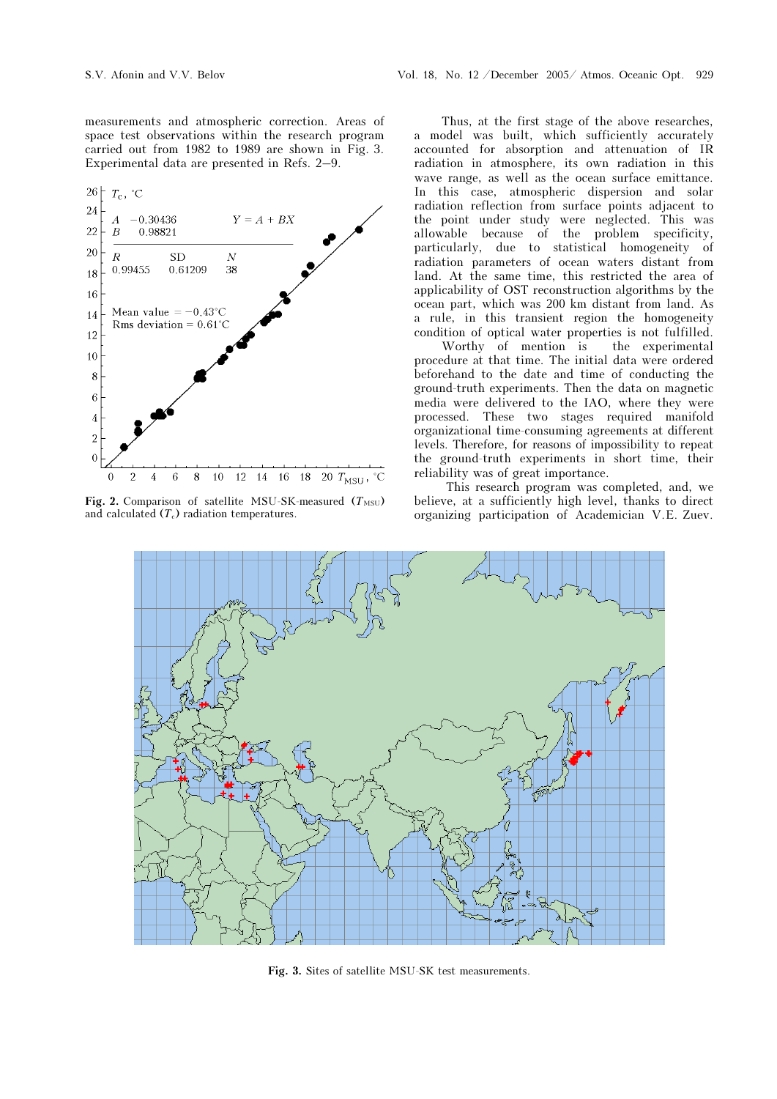measurements and atmospheric correction. Areas of space test observations within the research program carried out from 1982 to 1989 are shown in Fig. 3. Experimental data are presented in Refs. 2–9.



Fig. 2. Comparison of satellite MSU-SK-measured  $(T_{\text{MSU}})$ and calculated  $(T_c)$  radiation temperatures.

Thus, at the first stage of the above researches, a model was built, which sufficiently accurately accounted for absorption and attenuation of IR radiation in atmosphere, its own radiation in this wave range, as well as the ocean surface emittance. In this case, atmospheric dispersion and solar radiation reflection from surface points adjacent to the point under study were neglected. This was allowable because of the problem specificity, particularly, due to statistical homogeneity of radiation parameters of ocean waters distant from land. At the same time, this restricted the area of applicability of OST reconstruction algorithms by the ocean part, which was 200 km distant from land. As a rule, in this transient region the homogeneity condition of optical water properties is not fulfilled.

 Worthy of mention is the experimental procedure at that time. The initial data were ordered beforehand to the date and time of conducting the ground-truth experiments. Then the data on magnetic media were delivered to the IAO, where they were processed. These two stages required manifold organizational time-consuming agreements at different levels. Therefore, for reasons of impossibility to repeat the ground-truth experiments in short time, their reliability was of great importance.

 This research program was completed, and, we believe, at a sufficiently high level, thanks to direct organizing participation of Academician V.E. Zuev.



Fig. 3. Sites of satellite MSU-SK test measurements.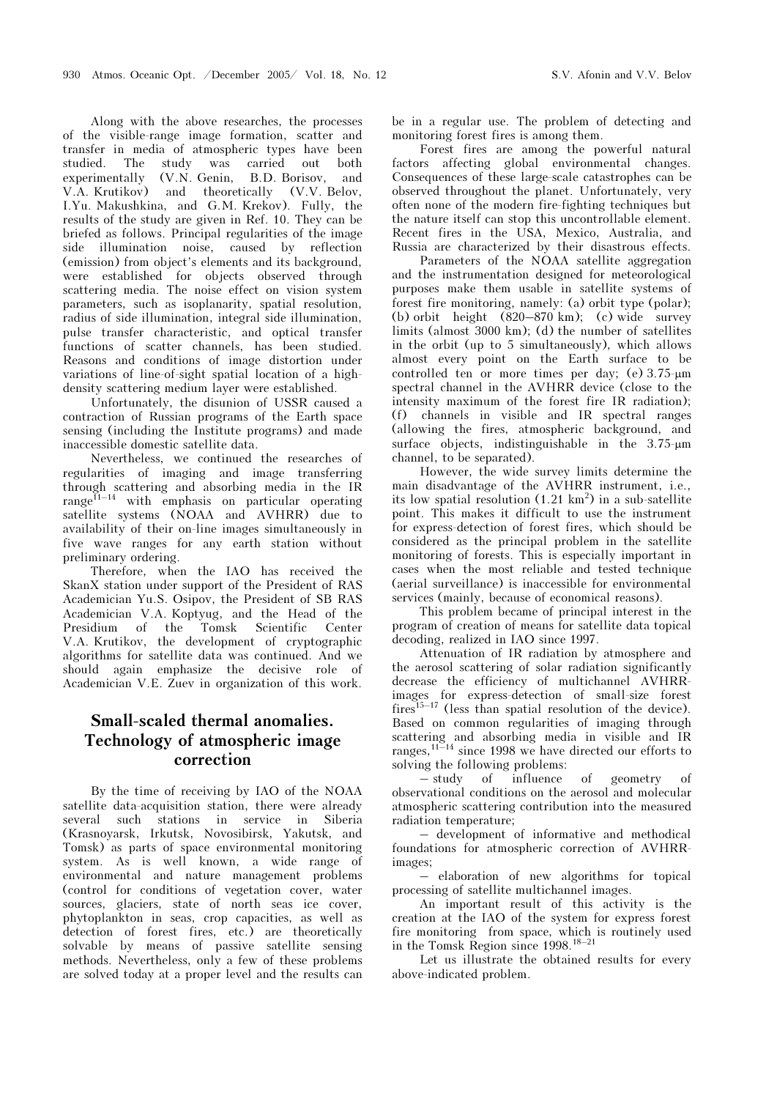Along with the above researches, the processes of the visible-range image formation, scatter and transfer in media of atmospheric types have been studied. The study was carried out both experimentally (V.N. Genin, B.D. Borisov, and V.A. Krutikov) and theoretically (V.V. Belov, V.A. Krutikov) and theoretically (V.V. Belov, I.Yu. Makushkina, and G.M. Krekov). Fully, the results of the study are given in Ref. 10. They can be briefed as follows. Principal regularities of the image side illumination noise, caused by reflection (emission) from object's elements and its background, were established for objects observed through scattering media. The noise effect on vision system parameters, such as isoplanarity, spatial resolution, radius of side illumination, integral side illumination, pulse transfer characteristic, and optical transfer functions of scatter channels, has been studied. Reasons and conditions of image distortion under variations of line-of-sight spatial location of a highdensity scattering medium layer were established.

Unfortunately, the disunion of USSR caused a contraction of Russian programs of the Earth space sensing (including the Institute programs) and made inaccessible domestic satellite data.

Nevertheless, we continued the researches of regularities of imaging and image transferring through scattering and absorbing media in the IR  $range<sup>11-14</sup>$  with emphasis on particular operating satellite systems (NOAA and AVHRR) due to availability of their on-line images simultaneously in five wave ranges for any earth station without preliminary ordering.

Therefore, when the IAO has received the SkanX station under support of the President of RAS Academician Yu.S. Osipov, the President of SB RAS Academician V.A. Koptyug, and the Head of the Presidium of the Tomsk Scientific Center V.A. Krutikov, the development of cryptographic algorithms for satellite data was continued. And we should again emphasize the decisive role of Academician V.E. Zuev in organization of this work.

## Small-scaled thermal anomalies. Technology of atmospheric image correction

By the time of receiving by IAO of the NOAA satellite data-acquisition station, there were already several such stations in service in Siberia (Krasnoyarsk, Irkutsk, Novosibirsk, Yakutsk, and Tomsk) as parts of space environmental monitoring system. As is well known, a wide range of environmental and nature management problems (control for conditions of vegetation cover, water sources, glaciers, state of north seas ice cover, phytoplankton in seas, crop capacities, as well as detection of forest fires, etc.) are theoretically solvable by means of passive satellite sensing methods. Nevertheless, only a few of these problems are solved today at a proper level and the results can

be in a regular use. The problem of detecting and monitoring forest fires is among them.

Forest fires are among the powerful natural factors affecting global environmental changes. Consequences of these large-scale catastrophes can be observed throughout the planet. Unfortunately, very often none of the modern fire-fighting techniques but the nature itself can stop this uncontrollable element. Recent fires in the USA, Mexico, Australia, and Russia are characterized by their disastrous effects.

 Parameters of the NOAA satellite aggregation and the instrumentation designed for meteorological purposes make them usable in satellite systems of forest fire monitoring, namely: (a) orbit type (polar); (b) orbit height (820–870 km); (c) wide survey limits (almost 3000 km); (d) the number of satellites in the orbit (up to 5 simultaneously), which allows almost every point on the Earth surface to be controlled ten or more times per day; (e) 3.75-μm spectral channel in the AVHRR device (close to the intensity maximum of the forest fire IR radiation); (f) channels in visible and IR spectral ranges (allowing the fires, atmospheric background, and surface objects, indistinguishable in the 3.75-μm channel, to be separated).

However, the wide survey limits determine the main disadvantage of the AVHRR instrument, i.e., its low spatial resolution  $(1.21 \text{ km}^2)$  in a sub-satellite point. This makes it difficult to use the instrument for express-detection of forest fires, which should be considered as the principal problem in the satellite monitoring of forests. This is especially important in cases when the most reliable and tested technique (aerial surveillance) is inaccessible for environmental services (mainly, because of economical reasons).

This problem became of principal interest in the program of creation of means for satellite data topical decoding, realized in IAO since 1997.

Attenuation of IR radiation by atmosphere and the aerosol scattering of solar radiation significantly decrease the efficiency of multichannel AVHRRimages for express-detection of small-size forest  $fires<sup>15–17</sup>$  (less than spatial resolution of the device). Based on common regularities of imaging through scattering and absorbing media in visible and IR ranges, $11-14$  since 1998 we have directed our efforts to solving the following problems:

– study of influence of geometry of observational conditions on the aerosol and molecular atmospheric scattering contribution into the measured radiation temperature;

– development of informative and methodical foundations for atmospheric correction of AVHRRimages;

– elaboration of new algorithms for topical processing of satellite multichannel images.

An important result of this activity is the creation at the IAO of the system for express forest fire monitoring from space, which is routinely used in the Tomsk Region since 1998.<sup>18–21</sup>

Let us illustrate the obtained results for every above-indicated problem.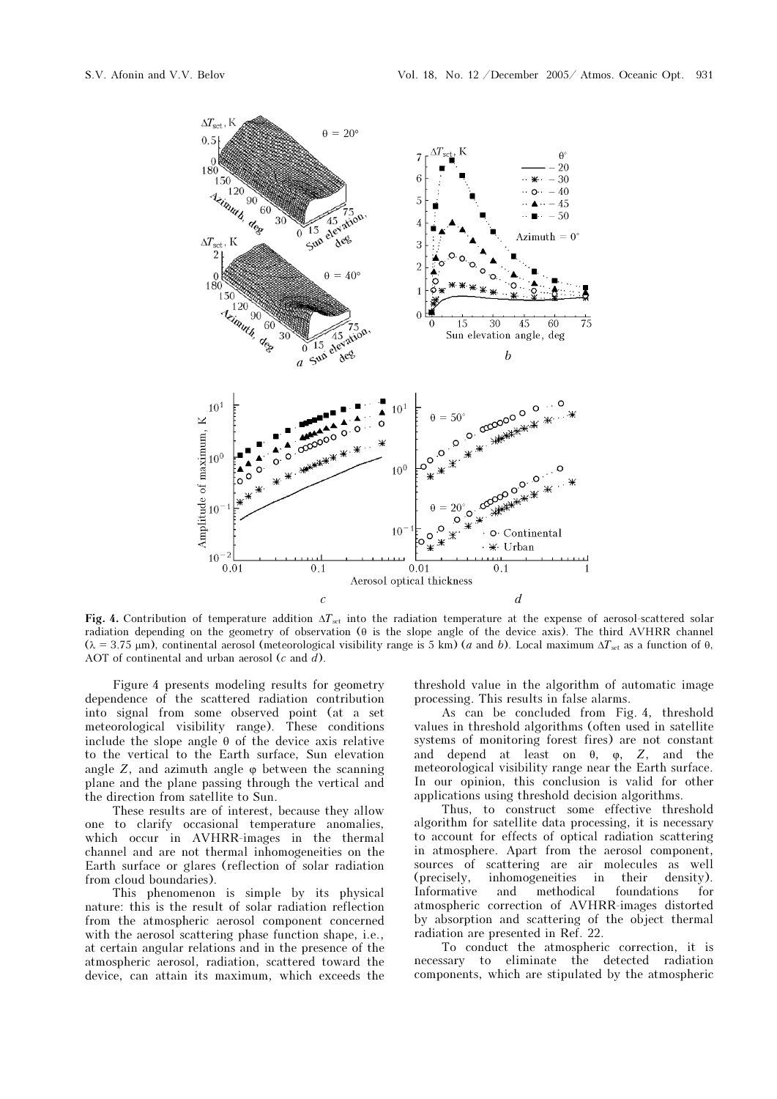

Fig. 4. Contribution of temperature addition  $\Delta T_{\rm sct}$  into the radiation temperature at the expense of aerosol-scattered solar radiation depending on the geometry of observation (θ is the slope angle of the device axis). The third AVHRR channel ( $\lambda = 3.75$  μm), continental aerosol (meteorological visibility range is 5 km) (*a* and *b*). Local maximum ΔT<sub>sct</sub> as a function of θ, AOT of continental and urban aerosol  $(c \text{ and } d)$ .

Figure 4 presents modeling results for geometry dependence of the scattered radiation contribution into signal from some observed point (at a set meteorological visibility range). These conditions include the slope angle  $\theta$  of the device axis relative to the vertical to the Earth surface, Sun elevation angle  $Z$ , and azimuth angle  $\varphi$  between the scanning plane and the plane passing through the vertical and the direction from satellite to Sun.

These results are of interest, because they allow one to clarify occasional temperature anomalies, which occur in AVHRR-images in the thermal channel and are not thermal inhomogeneities on the Earth surface or glares (reflection of solar radiation from cloud boundaries).

This phenomenon is simple by its physical nature: this is the result of solar radiation reflection from the atmospheric aerosol component concerned with the aerosol scattering phase function shape, i.e., at certain angular relations and in the presence of the atmospheric aerosol, radiation, scattered toward the device, can attain its maximum, which exceeds the

threshold value in the algorithm of automatic image processing. This results in false alarms.

As can be concluded from Fig. 4, threshold values in threshold algorithms (often used in satellite systems of monitoring forest fires) are not constant and depend at least on  $\theta$ ,  $\varphi$ , Z, and the meteorological visibility range near the Earth surface. In our opinion, this conclusion is valid for other applications using threshold decision algorithms.

Thus, to construct some effective threshold algorithm for satellite data processing, it is necessary to account for effects of optical radiation scattering in atmosphere. Apart from the aerosol component, sources of scattering are air molecules as well (precisely, inhomogeneities in their density). Informative and methodical foundations for atmospheric correction of AVHRR-images distorted by absorption and scattering of the object thermal radiation are presented in Ref. 22.

To conduct the atmospheric correction, it is necessary to eliminate the detected radiation components, which are stipulated by the atmospheric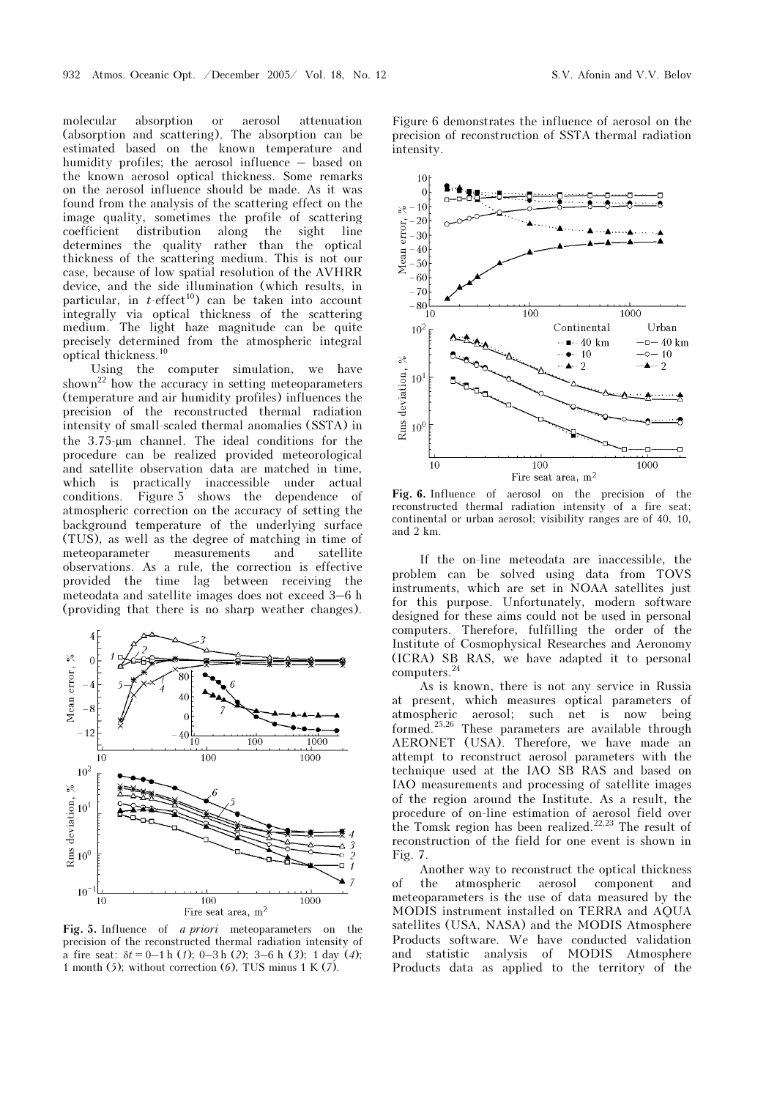molecular absorption or aerosol attenuation (absorption and scattering). The absorption can be estimated based on the known temperature and humidity profiles; the aerosol influence – based on the known aerosol optical thickness. Some remarks on the aerosol influence should be made. As it was found from the analysis of the scattering effect on the image quality, sometimes the profile of scattering coefficient distribution along the sight line determines the quality rather than the optical thickness of the scattering medium. This is not our case, because of low spatial resolution of the AVHRR device, and the side illumination (which results, in particular, in  $t$ -effect<sup>10</sup>) can be taken into account integrally via optical thickness of the scattering medium. The light haze magnitude can be quite precisely determined from the atmospheric integral optical thickness.<sup>10</sup>

Using the computer simulation, we have shown<sup>22</sup> how the accuracy in setting meteoparameters (temperature and air humidity profiles) influences the precision of the reconstructed thermal radiation intensity of small-scaled thermal anomalies (SSTA) in the 3.75-μm channel. The ideal conditions for the procedure can be realized provided meteorological and satellite observation data are matched in time, which is practically inaccessible under actual conditions. Figure  $5$  shows the dependence of atmospheric correction on the accuracy of setting the background temperature of the underlying surface (TUS), as well as the degree of matching in time of meteoparameter measurements and satellite observations. As a rule, the correction is effective provided the time lag between receiving the meteodata and satellite images does not exceed 3–6 h (providing that there is no sharp weather changes).



Fig. 5. Influence of *a priori* meteoparameters on the precision of the reconstructed thermal radiation intensity of a fire seat:  $\delta t = 0$ –1 h (1); 0–3 h (2); 3–6 h (3); 1 day (4); 1 month (5); without correction (6), TUS minus 1 K (7).

Figure 6 demonstrates the influence of aerosol on the precision of reconstruction of SSTA thermal radiation intensity.



Fig. 6. Influence of aerosol on the precision of the reconstructed thermal radiation intensity of a fire seat; continental or urban aerosol; visibility ranges are of 40, 10, and 2 km.

If the on-line meteodata are inaccessible, the problem can be solved using data from TOVS instruments, which are set in NOAA satellites just for this purpose. Unfortunately, modern software designed for these aims could not be used in personal computers. Therefore, fulfilling the order of the Institute of Cosmophysical Researches and Aeronomy (ICRA) SB RAS, we have adapted it to personal computers.<sup>24</sup>

As is known, there is not any service in Russia at present, which measures optical parameters of atmospheric aerosol; such net is now being formed.25,26 These parameters are available through AERONET (USA). Therefore, we have made an attempt to reconstruct aerosol parameters with the technique used at the IAO SB RAS and based on IAO measurements and processing of satellite images of the region around the Institute. As a result, the procedure of on-line estimation of aerosol field over the Tomsk region has been realized.<sup>22,23</sup> The result of reconstruction of the field for one event is shown in Fig. 7.

Another way to reconstruct the optical thickness of the atmospheric aerosol component and meteoparameters is the use of data measured by the MODIS instrument installed on TERRA and AQUA satellites (USA, NASA) and the MODIS Atmosphere Products software. We have conducted validation and statistic analysis of MODIS Atmosphere Products data as applied to the territory of the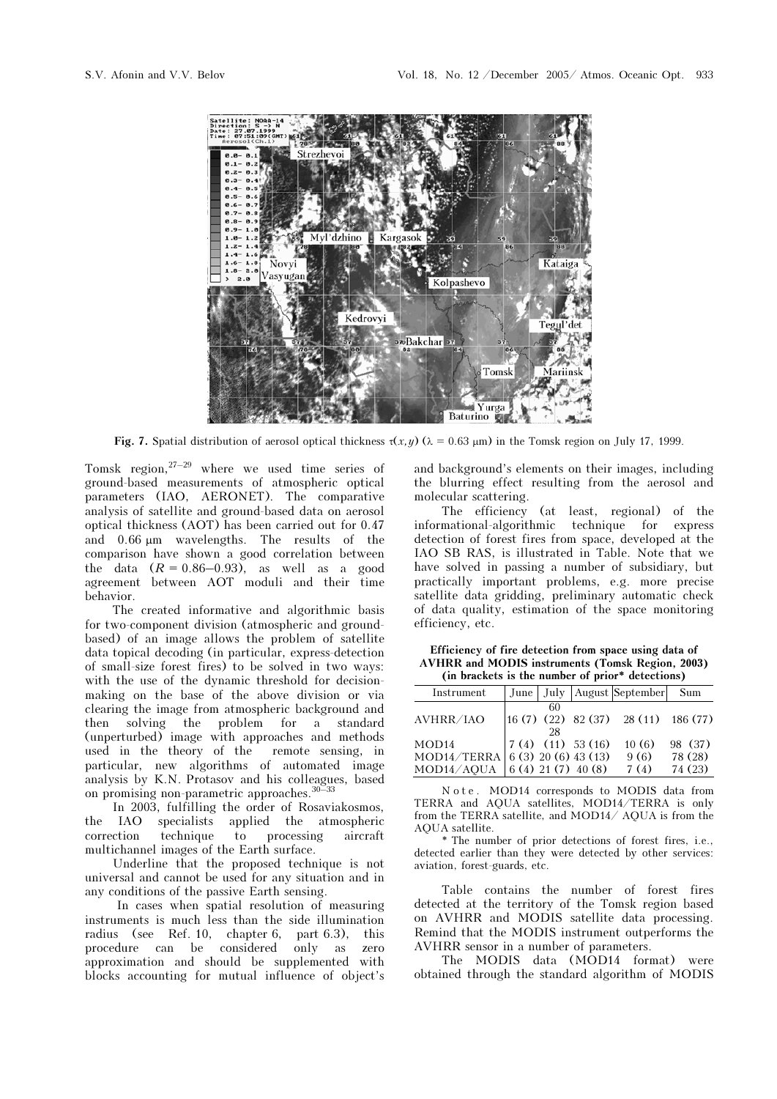

Fig. 7. Spatial distribution of aerosol optical thickness  $\tau(x,y)$  ( $\lambda = 0.63 \mu m$ ) in the Tomsk region on July 17, 1999.

Tomsk region,  $27-29$  where we used time series of ground-based measurements of atmospheric optical parameters (IAO, AERONET). The comparative analysis of satellite and ground-based data on aerosol optical thickness (AOT) has been carried out for 0.47 and 0.66 μm wavelengths. The results of the comparison have shown a good correlation between the data  $(R = 0.86 - 0.93)$ , as well as a good agreement between AOT moduli and their time behavior.

The created informative and algorithmic basis for two-component division (atmospheric and groundbased) of an image allows the problem of satellite data topical decoding (in particular, express-detection of small-size forest fires) to be solved in two ways: with the use of the dynamic threshold for decisionmaking on the base of the above division or via clearing the image from atmospheric background and<br>then solving the problem for a standard the problem for a standard (unperturbed) image with approaches and methods used in the theory of the remote sensing, in particular, new algorithms of automated image analysis by K.N. Protasov and his colleagues, based on promising non-parametric approaches. $30-3$ 

In 2003, fulfilling the order of Rosaviakosmos, the IAO specialists applied the atmospheric correction technique to processing aircraft multichannel images of the Earth surface.

Underline that the proposed technique is not universal and cannot be used for any situation and in any conditions of the passive Earth sensing.

 In cases when spatial resolution of measuring instruments is much less than the side illumination radius (see Ref. 10, chapter 6, part 6.3), this procedure can be considered only as zero approximation and should be supplemented with blocks accounting for mutual influence of object's and background's elements on their images, including the blurring effect resulting from the aerosol and molecular scattering.

The efficiency (at least, regional) of the informational-algorithmic technique for express detection of forest fires from space, developed at the IAO SB RAS, is illustrated in Table. Note that we have solved in passing a number of subsidiary, but practically important problems, e.g. more precise satellite data gridding, preliminary automatic check of data quality, estimation of the space monitoring efficiency, etc.

Efficiency of fire detection from space using data of AVHRR and MODIS instruments (Tomsk Region, 2003) (in brackets is the number of prior\* detections)

| $\mu$ or $\mu$ or $\mu$ or $\mu$ and $\mu$ or $\mu$ and $\mu$ are $\mu$ |  |          |                      |                                |                    |
|-------------------------------------------------------------------------|--|----------|----------------------|--------------------------------|--------------------|
| Instrument                                                              |  |          |                      | June   July   August September | Sum                |
| AVHRR/IAO                                                               |  | 60<br>28 |                      | 16(7)(22)82(37)28(11)186(77)   |                    |
| MOD <sub>14</sub><br>MOD14/TERRA 6 (3) 20 (6) 43 (13)                   |  |          | $7(4)$ (11) 53 (16)  | 10(6)<br>9(6)                  | 98 (37)<br>78 (28) |
| MOD14/AOUA                                                              |  |          | $6(4)$ 21 (7) 40 (8) | 7(4)                           | 74 (23)            |

N o t e . MOD14 corresponds to MODIS data from TERRA and AQUA satellites, MOD14/TERRA is only from the TERRA satellite, and MOD14/ AQUA is from the AQUA satellite.

\* The number of prior detections of forest fires, i.e., detected earlier than they were detected by other services: aviation, forest-guards, etc.

Table contains the number of forest fires detected at the territory of the Tomsk region based on AVHRR and MODIS satellite data processing. Remind that the MODIS instrument outperforms the AVHRR sensor in a number of parameters.

The MODIS data (MOD14 format) were obtained through the standard algorithm of MODIS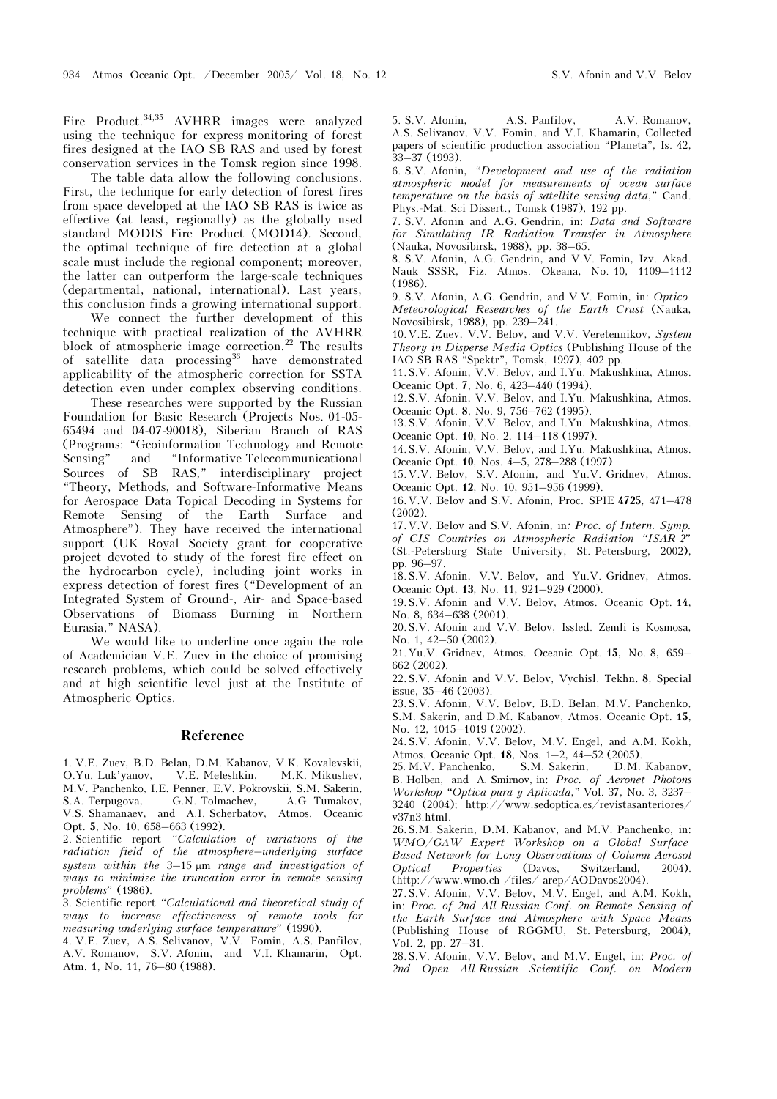Fire Product.<sup>34,35</sup> AVHRR images were analyzed using the technique for express-monitoring of forest fires designed at the IAO SB RAS and used by forest conservation services in the Tomsk region since 1998.

 The table data allow the following conclusions. First, the technique for early detection of forest fires from space developed at the IAO SB RAS is twice as effective (at least, regionally) as the globally used standard MODIS Fire Product (MOD14). Second, the optimal technique of fire detection at a global scale must include the regional component; moreover, the latter can outperform the large-scale techniques (departmental, national, international). Last years, this conclusion finds a growing international support.

 We connect the further development of this technique with practical realization of the AVHRR block of atmospheric image correction.<sup>22</sup> The results of satellite data processing<sup>36</sup> have demonstrated applicability of the atmospheric correction for SSTA detection even under complex observing conditions.

 These researches were supported by the Russian Foundation for Basic Research (Projects Nos. 01-05- 65494 and 04-07-90018), Siberian Branch of RAS (Programs: "Geoinformation Technology and Remote Sensing" and "Informative-Telecommunicational Sources of SB RAS," interdisciplinary project "Theory, Methods, and Software-Informative Means for Aerospace Data Topical Decoding in Systems for Remote Sensing of the Earth Surface and Atmosphere"). They have received the international support (UK Royal Society grant for cooperative project devoted to study of the forest fire effect on the hydrocarbon cycle), including joint works in express detection of forest fires ("Development of an Integrated System of Ground-, Air- and Space-based Observations of Biomass Burning in Northern Eurasia," NASA).

We would like to underline once again the role of Academician V.E. Zuev in the choice of promising research problems, which could be solved effectively and at high scientific level just at the Institute of Atmospheric Optics.

### Reference

1. V.E. Zuev, B.D. Belan, D.M. Kabanov, V.K. Kovalevskii, O.Yu. Luk'yanov, V.E. Meleshkin, M.K. Mikushev, M.V. Panchenko, I.E. Penner, E.V. Pokrovskii, S.M. Sakerin, S.A. Terpugova, G.N. Tolmachev, A.G. Tumakov, V.S. Shamanaev, and A.I. Scherbatov, Atmos. Oceanic Opt. 5, No. 10, 658–663 (1992).

2. Scientific report "Calculation of variations of the radiation field of the atmosphere–underlying surface system within the 3–15 μm range and investigation of ways to minimize the truncation error in remote sensing problems" (1986).

3. Scientific report "Calculational and theoretical study of ways to increase effectiveness of remote tools for measuring underlying surface temperature" (1990).

4. V.E. Zuev, A.S. Selivanov, V.V. Fomin, A.S. Panfilov, A.V. Romanov, S.V. Afonin, and V.I. Khamarin, Opt. Atm. 1, No. 11, 76–80 (1988).

5. S.V. Afonin, A.S. Panfilov, A.V. Romanov, A.S. Selivanov, V.V. Fomin, and V.I. Khamarin, Collected papers of scientific production association "Planeta", Is. 42, 33–37 (1993).

6. S.V. Afonin, "Development and use of the radiation atmospheric model for measurements of ocean surface temperature on the basis of satellite sensing data," Cand. Phys.-Mat. Sci Dissert., Tomsk (1987), 192 pp.

7. S.V. Afonin and A.G. Gendrin, in: Data and Software for Simulating IR Radiation Transfer in Atmosphere (Nauka, Novosibirsk, 1988), pp. 38–65.

8. S.V. Afonin, A.G. Gendrin, and V.V. Fomin, Izv. Akad. Nauk SSSR, Fiz. Atmos. Okeana, No. 10, 1109–1112 (1986).

9. S.V. Afonin, A.G. Gendrin, and V.V. Fomin, in: Optico-Meteorological Researches of the Earth Crust (Nauka, Novosibirsk, 1988), pp. 239–241.

10.V.E. Zuev, V.V. Belov, and V.V. Veretennikov, System Theory in Disperse Media Optics (Publishing House of the IAO SB RAS "Spektr", Tomsk, 1997), 402 pp.

11.S.V. Afonin, V.V. Belov, and I.Yu. Makushkina, Atmos. Oceanic Opt. 7, No. 6, 423–440 (1994).

12.S.V. Afonin, V.V. Belov, and I.Yu. Makushkina, Atmos. Oceanic Opt. 8, No. 9, 756–762 (1995).

13.S.V. Afonin, V.V. Belov, and I.Yu. Makushkina, Atmos. Oceanic Opt. 10, No. 2, 114–118 (1997).

14.S.V. Afonin, V.V. Belov, and I.Yu. Makushkina, Atmos. Oceanic Opt. 10, Nos. 4–5, 278–288 (1997).

15.V.V. Belov, S.V. Afonin, and Yu.V. Gridnev, Atmos. Oceanic Opt. 12, No. 10, 951–956 (1999).

16.V.V. Belov and S.V. Afonin, Proc. SPIE 4725, 471–478 (2002).

17.V.V. Belov and S.V. Afonin, in: Proc. of Intern. Symp.

of CIS Countries on Atmospheric Radiation "ISAR-2" (St.-Petersburg State University, St. Petersburg, 2002),

pp. 96–97. 18.S.V. Afonin, V.V. Belov, and Yu.V. Gridnev, Atmos.

Oceanic Opt. 13, No. 11, 921–929 (2000).

19.S.V. Afonin and V.V. Belov, Atmos. Oceanic Opt. 14, No. 8, 634–638 (2001).

20.S.V. Afonin and V.V. Belov, Issled. Zemli is Kosmosa, No. 1, 42–50 (2002).

21.Yu.V. Gridnev, Atmos. Oceanic Opt. 15, No. 8, 659– 662 (2002).

22.S.V. Afonin and V.V. Belov, Vychisl. Tekhn. 8, Special issue, 35–46 (2003).

23.S.V. Afonin, V.V. Belov, B.D. Belan, M.V. Panchenko, S.M. Sakerin, and D.M. Kabanov, Atmos. Oceanic Opt. 15, No. 12, 1015–1019 (2002).

24.S.V. Afonin, V.V. Belov, M.V. Engel, and A.M. Kokh, Atmos. Oceanic Opt. 18, Nos. 1–2, 44–52 (2005).

25. M.V. Panchenko, S.M. Sakerin, D.M. Kabanov, B. Holben, and A. Smirnov, in: Proc. of Aeronet Photons Workshop "Optica pura y Aplicada," Vol. 37, No. 3, 3237– 3240 (2004); http://www.sedoptica.es/revistasanteriores/ v37n3.html.

26.S.M. Sakerin, D.M. Kabanov, and M.V. Panchenko, in: WMO/GAW Expert Workshop on a Global Surface-Based Network for Long Observations of Column Aerosol Optical Properties (Davos, Switzerland, 2004). (http://www.wmo.ch /files/ arep/AODavos2004).

27.S.V. Afonin, V.V. Belov, M.V. Engel, and A.M. Kokh, in: Proc. of 2nd All-Russian Conf. on Remote Sensing of the Earth Surface and Atmosphere with Space Means (Publishing House of RGGMU, St. Petersburg, 2004), Vol. 2, pp. 27–31.

28.S.V. Afonin, V.V. Belov, and M.V. Engel, in: Proc. of 2nd Open All-Russian Scientific Conf. on Modern